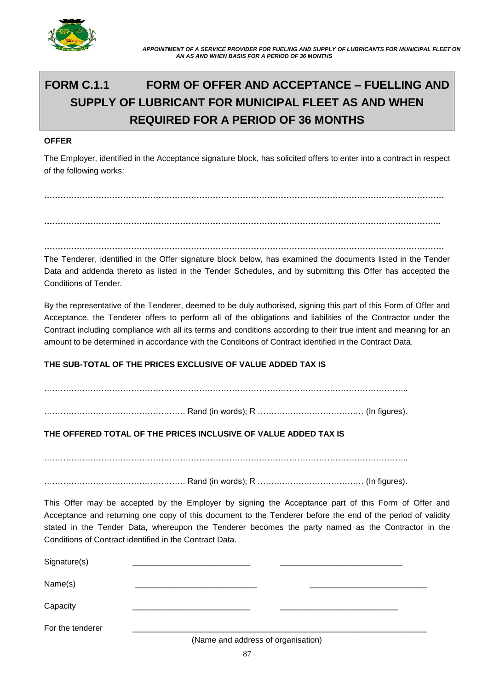

# **FORM C.1.1 FORM OF OFFER AND ACCEPTANCE – FUELLING AND SUPPLY OF LUBRICANT FOR MUNICIPAL FLEET AS AND WHEN REQUIRED FOR A PERIOD OF 36 MONTHS**

#### **OFFER**

The Employer, identified in the Acceptance signature block, has solicited offers to enter into a contract in respect of the following works:

**…………………………………………………………………………………………………………………………………**

**………………………………………………………………………………………………………………………………..**

**…………………………………………………………………………………………………………………………………**

The Tenderer, identified in the Offer signature block below, has examined the documents listed in the Tender Data and addenda thereto as listed in the Tender Schedules, and by submitting this Offer has accepted the Conditions of Tender.

By the representative of the Tenderer, deemed to be duly authorised, signing this part of this Form of Offer and Acceptance, the Tenderer offers to perform all of the obligations and liabilities of the Contractor under the Contract including compliance with all its terms and conditions according to their true intent and meaning for an amount to be determined in accordance with the Conditions of Contract identified in the Contract Data.

## **THE SUB-TOTAL OF THE PRICES EXCLUSIVE OF VALUE ADDED TAX IS**

……………………………………………. Rand (in words); R ………………………………… (In figures).

## **THE OFFERED TOTAL OF THE PRICES INCLUSIVE OF VALUE ADDED TAX IS**

……………………………………………. Rand (in words); R ………………………………… (In figures).

This Offer may be accepted by the Employer by signing the Acceptance part of this Form of Offer and Acceptance and returning one copy of this document to the Tenderer before the end of the period of validity stated in the Tender Data, whereupon the Tenderer becomes the party named as the Contractor in the Conditions of Contract identified in the Contract Data.

| Signature(s)     |                                                                                                                                                                                                                                   |  |  |
|------------------|-----------------------------------------------------------------------------------------------------------------------------------------------------------------------------------------------------------------------------------|--|--|
| Name(s)          |                                                                                                                                                                                                                                   |  |  |
| Capacity         |                                                                                                                                                                                                                                   |  |  |
| For the tenderer | $\mathbf{a}$ , and the contract of the contract of the contract of the contract of the contract of the contract of the contract of the contract of the contract of the contract of the contract of the contract of the contract o |  |  |

(Name and address of organisation)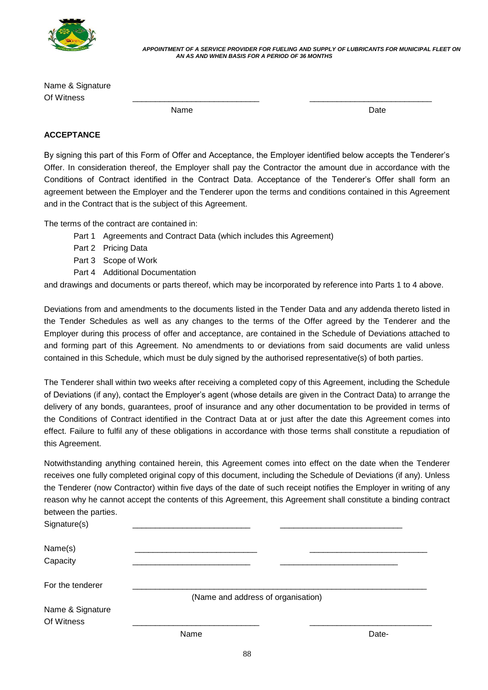

 *APPOINTMENT OF A SERVICE PROVIDER FOR FUELING AND SUPPLY OF LUBRICANTS FOR MUNICIPAL FLEET ON AN AS AND WHEN BASIS FOR A PERIOD OF 36 MONTHS*

Name & Signature Of Witness \_\_\_\_\_\_\_\_\_\_\_\_\_\_\_\_\_\_\_\_\_\_\_\_\_\_\_\_ \_\_\_\_\_\_\_\_\_\_\_\_\_\_\_\_\_\_\_\_\_\_\_\_\_\_\_

name and the Date of the Date of the Date of the Date of the Date of the Date of the Date of the Date of the D

#### **ACCEPTANCE**

By signing this part of this Form of Offer and Acceptance, the Employer identified below accepts the Tenderer's Offer. In consideration thereof, the Employer shall pay the Contractor the amount due in accordance with the Conditions of Contract identified in the Contract Data. Acceptance of the Tenderer's Offer shall form an agreement between the Employer and the Tenderer upon the terms and conditions contained in this Agreement and in the Contract that is the subject of this Agreement.

The terms of the contract are contained in:

- Part 1 Agreements and Contract Data (which includes this Agreement)
- Part 2 Pricing Data
- Part 3 Scope of Work
- Part 4 Additional Documentation

and drawings and documents or parts thereof, which may be incorporated by reference into Parts 1 to 4 above.

Deviations from and amendments to the documents listed in the Tender Data and any addenda thereto listed in the Tender Schedules as well as any changes to the terms of the Offer agreed by the Tenderer and the Employer during this process of offer and acceptance, are contained in the Schedule of Deviations attached to and forming part of this Agreement. No amendments to or deviations from said documents are valid unless contained in this Schedule, which must be duly signed by the authorised representative(s) of both parties.

The Tenderer shall within two weeks after receiving a completed copy of this Agreement, including the Schedule of Deviations (if any), contact the Employer's agent (whose details are given in the Contract Data) to arrange the delivery of any bonds, guarantees, proof of insurance and any other documentation to be provided in terms of the Conditions of Contract identified in the Contract Data at or just after the date this Agreement comes into effect. Failure to fulfil any of these obligations in accordance with those terms shall constitute a repudiation of this Agreement.

Notwithstanding anything contained herein, this Agreement comes into effect on the date when the Tenderer receives one fully completed original copy of this document, including the Schedule of Deviations (if any). Unless the Tenderer (now Contractor) within five days of the date of such receipt notifies the Employer in writing of any reason why he cannot accept the contents of this Agreement, this Agreement shall constitute a binding contract between the parties.

| Signature(s)                   |                                    |       |
|--------------------------------|------------------------------------|-------|
| Name(s)<br>Capacity            |                                    |       |
| For the tenderer               | (Name and address of organisation) |       |
| Name & Signature<br>Of Witness |                                    |       |
|                                | Name                               | Date- |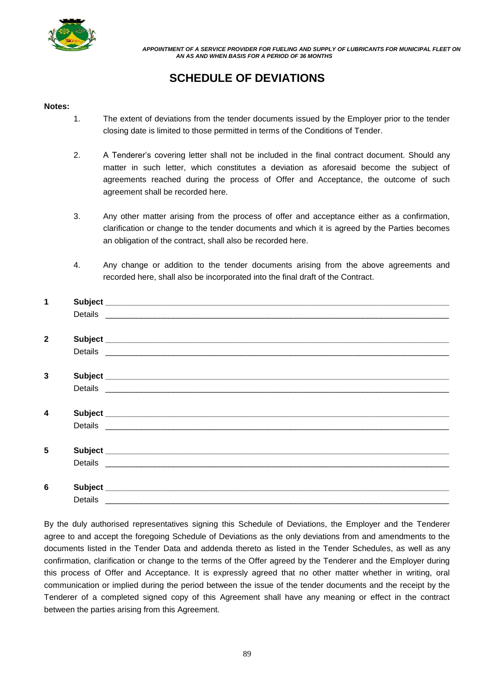

 *APPOINTMENT OF A SERVICE PROVIDER FOR FUELING AND SUPPLY OF LUBRICANTS FOR MUNICIPAL FLEET ON AN AS AND WHEN BASIS FOR A PERIOD OF 36 MONTHS*

# **SCHEDULE OF DEVIATIONS**

#### **Notes:**

- 1. The extent of deviations from the tender documents issued by the Employer prior to the tender closing date is limited to those permitted in terms of the Conditions of Tender.
- 2. A Tenderer's covering letter shall not be included in the final contract document. Should any matter in such letter, which constitutes a deviation as aforesaid become the subject of agreements reached during the process of Offer and Acceptance, the outcome of such agreement shall be recorded here.
- 3. Any other matter arising from the process of offer and acceptance either as a confirmation, clarification or change to the tender documents and which it is agreed by the Parties becomes an obligation of the contract, shall also be recorded here.
- 4. Any change or addition to the tender documents arising from the above agreements and recorded here, shall also be incorporated into the final draft of the Contract.

| 1                       |         |                                                                                                                                                                                                                                |
|-------------------------|---------|--------------------------------------------------------------------------------------------------------------------------------------------------------------------------------------------------------------------------------|
|                         |         | Details experience and the contract of the contract of the contract of the contract of the contract of the contract of the contract of the contract of the contract of the contract of the contract of the contract of the con |
|                         |         |                                                                                                                                                                                                                                |
| $\mathbf{2}$            |         |                                                                                                                                                                                                                                |
|                         |         |                                                                                                                                                                                                                                |
|                         |         |                                                                                                                                                                                                                                |
| 3                       |         |                                                                                                                                                                                                                                |
|                         |         |                                                                                                                                                                                                                                |
|                         |         |                                                                                                                                                                                                                                |
| $\overline{\mathbf{4}}$ |         |                                                                                                                                                                                                                                |
|                         |         |                                                                                                                                                                                                                                |
|                         |         |                                                                                                                                                                                                                                |
| 5                       |         |                                                                                                                                                                                                                                |
|                         |         |                                                                                                                                                                                                                                |
|                         |         |                                                                                                                                                                                                                                |
| 6                       |         |                                                                                                                                                                                                                                |
|                         | Details |                                                                                                                                                                                                                                |

By the duly authorised representatives signing this Schedule of Deviations, the Employer and the Tenderer agree to and accept the foregoing Schedule of Deviations as the only deviations from and amendments to the documents listed in the Tender Data and addenda thereto as listed in the Tender Schedules, as well as any confirmation, clarification or change to the terms of the Offer agreed by the Tenderer and the Employer during this process of Offer and Acceptance. It is expressly agreed that no other matter whether in writing, oral communication or implied during the period between the issue of the tender documents and the receipt by the Tenderer of a completed signed copy of this Agreement shall have any meaning or effect in the contract between the parties arising from this Agreement.